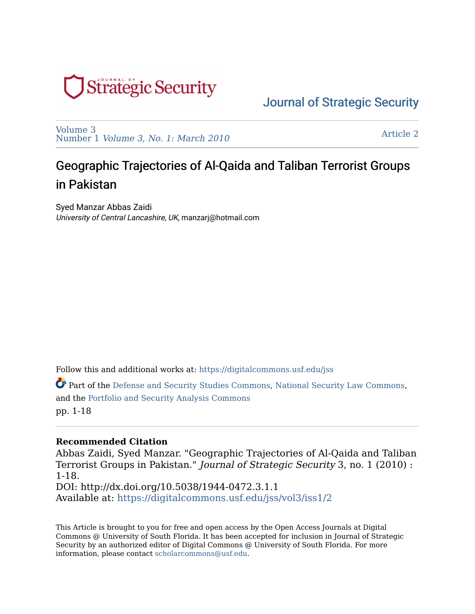

[Volume 3](https://digitalcommons.usf.edu/jss/vol3)  Number 1 [Volume 3, No. 1: March 2010](https://digitalcommons.usf.edu/jss/vol3/iss1) 

[Article 2](https://digitalcommons.usf.edu/jss/vol3/iss1/2) 

# Geographic Trajectories of Al-Qaida and Taliban Terrorist Groups in Pakistan

Syed Manzar Abbas Zaidi University of Central Lancashire, UK, manzarj@hotmail.com

Follow this and additional works at: [https://digitalcommons.usf.edu/jss](https://digitalcommons.usf.edu/jss?utm_source=digitalcommons.usf.edu%2Fjss%2Fvol3%2Fiss1%2F2&utm_medium=PDF&utm_campaign=PDFCoverPages)

Part of the [Defense and Security Studies Commons,](http://network.bepress.com/hgg/discipline/394?utm_source=digitalcommons.usf.edu%2Fjss%2Fvol3%2Fiss1%2F2&utm_medium=PDF&utm_campaign=PDFCoverPages) [National Security Law Commons,](http://network.bepress.com/hgg/discipline/1114?utm_source=digitalcommons.usf.edu%2Fjss%2Fvol3%2Fiss1%2F2&utm_medium=PDF&utm_campaign=PDFCoverPages) and the [Portfolio and Security Analysis Commons](http://network.bepress.com/hgg/discipline/640?utm_source=digitalcommons.usf.edu%2Fjss%2Fvol3%2Fiss1%2F2&utm_medium=PDF&utm_campaign=PDFCoverPages)  pp. 1-18

#### **Recommended Citation**

Abbas Zaidi, Syed Manzar. "Geographic Trajectories of Al-Qaida and Taliban Terrorist Groups in Pakistan." Journal of Strategic Security 3, no. 1 (2010) : 1-18. DOI: http://dx.doi.org/10.5038/1944-0472.3.1.1 Available at: [https://digitalcommons.usf.edu/jss/vol3/iss1/2](https://digitalcommons.usf.edu/jss/vol3/iss1/2?utm_source=digitalcommons.usf.edu%2Fjss%2Fvol3%2Fiss1%2F2&utm_medium=PDF&utm_campaign=PDFCoverPages)

This Article is brought to you for free and open access by the Open Access Journals at Digital Commons @ University of South Florida. It has been accepted for inclusion in Journal of Strategic Security by an authorized editor of Digital Commons @ University of South Florida. For more information, please contact [scholarcommons@usf.edu.](mailto:scholarcommons@usf.edu)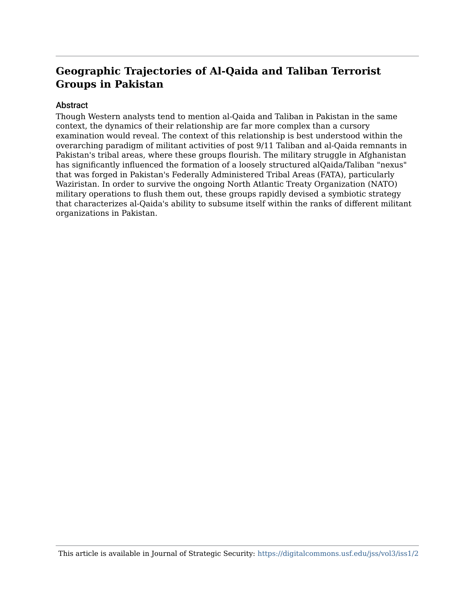#### Abstract

Though Western analysts tend to mention al-Qaida and Taliban in Pakistan in the same context, the dynamics of their relationship are far more complex than a cursory examination would reveal. The context of this relationship is best understood within the overarching paradigm of militant activities of post 9/11 Taliban and al-Qaida remnants in Pakistan's tribal areas, where these groups flourish. The military struggle in Afghanistan has significantly influenced the formation of a loosely structured alQaida/Taliban "nexus" that was forged in Pakistan's Federally Administered Tribal Areas (FATA), particularly Waziristan. In order to survive the ongoing North Atlantic Treaty Organization (NATO) military operations to flush them out, these groups rapidly devised a symbiotic strategy that characterizes al-Qaida's ability to subsume itself within the ranks of different militant organizations in Pakistan.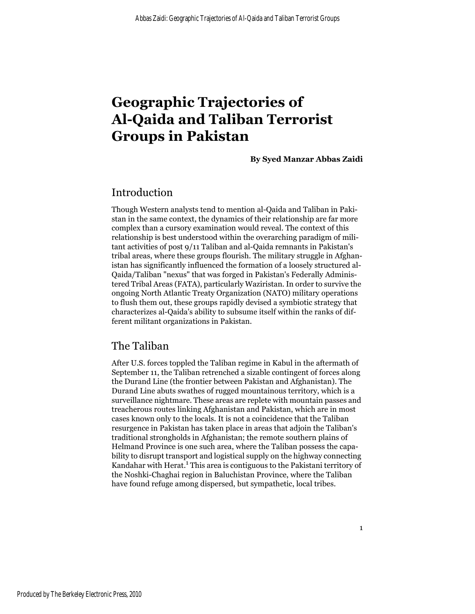**By Syed Manzar Abbas Zaidi**

### Introduction

Though Western analysts tend to mention al-Qaida and Taliban in Pakistan in the same context, the dynamics of their relationship are far more complex than a cursory examination would reveal. The context of this relationship is best understood within the overarching paradigm of militant activities of post 9/11 Taliban and al-Qaida remnants in Pakistan's tribal areas, where these groups flourish. The military struggle in Afghanistan has significantly influenced the formation of a loosely structured al-Qaida/Taliban "nexus" that was forged in Pakistan's Federally Administered Tribal Areas (FATA), particularly Waziristan. In order to survive the ongoing North Atlantic Treaty Organization (NATO) military operations to flush them out, these groups rapidly devised a symbiotic strategy that characterizes al-Qaida's ability to subsume itself within the ranks of different militant organizations in Pakistan.

#### The Taliban

After U.S. forces toppled the Taliban regime in Kabul in the aftermath of September 11, the Taliban retrenched a sizable contingent of forces along the Durand Line (the frontier between Pakistan and Afghanistan). The Durand Line abuts swathes of rugged mountainous territory, which is a surveillance nightmare. These areas are replete with mountain passes and treacherous routes linking Afghanistan and Pakistan, which are in most cases known only to the locals. It is not a coincidence that the Taliban resurgence in Pakistan has taken place in areas that adjoin the Taliban's traditional strongholds in Afghanistan; the remote southern plains of Helmand Province is one such area, where the Taliban possess the capability to disrupt transport and logistical supply on the highway connecting Kandahar with Herat.<sup>1</sup> This area is contiguous to the Pakistani territory of the Noshki-Chaghai region in Baluchistan Province, where the Taliban have found refuge among dispersed, but sympathetic, local tribes.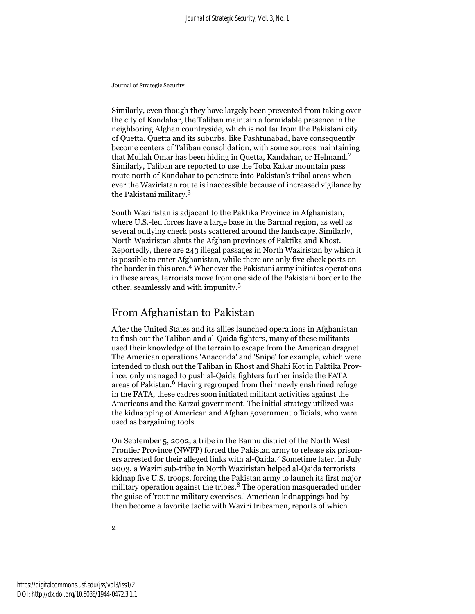Similarly, even though they have largely been prevented from taking over the city of Kandahar, the Taliban maintain a formidable presence in the neighboring Afghan countryside, which is not far from the Pakistani city of Quetta. Quetta and its suburbs, like Pashtunabad, have consequently become centers of Taliban consolidation, with some sources maintaining that Mullah Omar has been hiding in Quetta, Kandahar, or Helmand.<sup>2</sup> Similarly, Taliban are reported to use the Toba Kakar mountain pass route north of Kandahar to penetrate into Pakistan's tribal areas whenever the Waziristan route is inaccessible because of increased vigilance by the Pakistani military.3

South Waziristan is adjacent to the Paktika Province in Afghanistan, where U.S.-led forces have a large base in the Barmal region, as well as several outlying check posts scattered around the landscape. Similarly, North Waziristan abuts the Afghan provinces of Paktika and Khost. Reportedly, there are 243 illegal passages in North Waziristan by which it is possible to enter Afghanistan, while there are only five check posts on the border in this area.<sup>4</sup> Whenever the Pakistani army initiates operations in these areas, terrorists move from one side of the Pakistani border to the other, seamlessly and with impunity.<sup>5</sup>

# From Afghanistan to Pakistan

After the United States and its allies launched operations in Afghanistan to flush out the Taliban and al-Qaida fighters, many of these militants used their knowledge of the terrain to escape from the American dragnet. The American operations 'Anaconda' and 'Snipe' for example, which were intended to flush out the Taliban in Khost and Shahi Kot in Paktika Province, only managed to push al-Qaida fighters further inside the FATA areas of Pakistan.<sup>6</sup> Having regrouped from their newly enshrined refuge in the FATA, these cadres soon initiated militant activities against the Americans and the Karzai government. The initial strategy utilized was the kidnapping of American and Afghan government officials, who were used as bargaining tools.

On September 5, 2002, a tribe in the Bannu district of the North West Frontier Province (NWFP) forced the Pakistan army to release six prisoners arrested for their alleged links with al-Qaida.7 Sometime later, in July 2003, a Waziri sub-tribe in North Waziristan helped al-Qaida terrorists kidnap five U.S. troops, forcing the Pakistan army to launch its first major military operation against the tribes.<sup>8</sup> The operation masqueraded under the guise of 'routine military exercises.' American kidnappings had by then become a favorite tactic with Waziri tribesmen, reports of which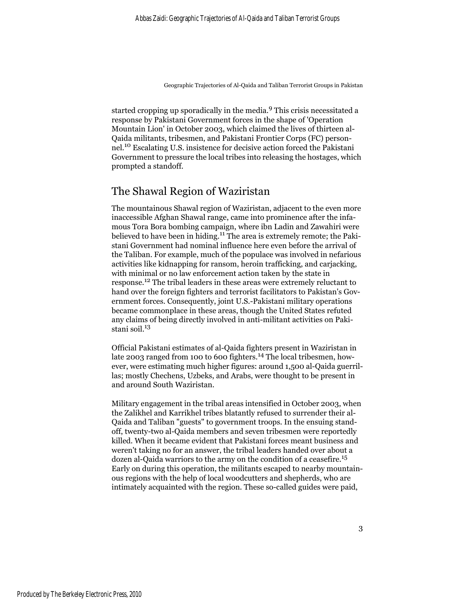started cropping up sporadically in the media.9 This crisis necessitated a response by Pakistani Government forces in the shape of 'Operation Mountain Lion' in October 2003, which claimed the lives of thirteen al-Qaida militants, tribesmen, and Pakistani Frontier Corps (FC) personnel.10 Escalating U.S. insistence for decisive action forced the Pakistani Government to pressure the local tribes into releasing the hostages, which prompted a standoff.

# The Shawal Region of Waziristan

The mountainous Shawal region of Waziristan, adjacent to the even more inaccessible Afghan Shawal range, came into prominence after the infamous Tora Bora bombing campaign, where ibn Ladin and Zawahiri were believed to have been in hiding.<sup>11</sup> The area is extremely remote; the Pakistani Government had nominal influence here even before the arrival of the Taliban. For example, much of the populace was involved in nefarious activities like kidnapping for ransom, heroin trafficking, and carjacking, with minimal or no law enforcement action taken by the state in response.12 The tribal leaders in these areas were extremely reluctant to hand over the foreign fighters and terrorist facilitators to Pakistan's Government forces. Consequently, joint U.S.-Pakistani military operations became commonplace in these areas, though the United States refuted any claims of being directly involved in anti-militant activities on Pakistani soil.<sup>13</sup>

Official Pakistani estimates of al-Qaida fighters present in Waziristan in late 2003 ranged from 100 to 600 fighters.<sup>14</sup> The local tribesmen, however, were estimating much higher figures: around 1,500 al-Qaida guerrillas; mostly Chechens, Uzbeks, and Arabs, were thought to be present in and around South Waziristan.

Military engagement in the tribal areas intensified in October 2003, when the Zalikhel and Karrikhel tribes blatantly refused to surrender their al-Qaida and Taliban "guests" to government troops. In the ensuing standoff, twenty-two al-Qaida members and seven tribesmen were reportedly killed. When it became evident that Pakistani forces meant business and weren't taking no for an answer, the tribal leaders handed over about a dozen al-Qaida warriors to the army on the condition of a ceasefire.<sup>15</sup> Early on during this operation, the militants escaped to nearby mountainous regions with the help of local woodcutters and shepherds, who are intimately acquainted with the region. These so-called guides were paid,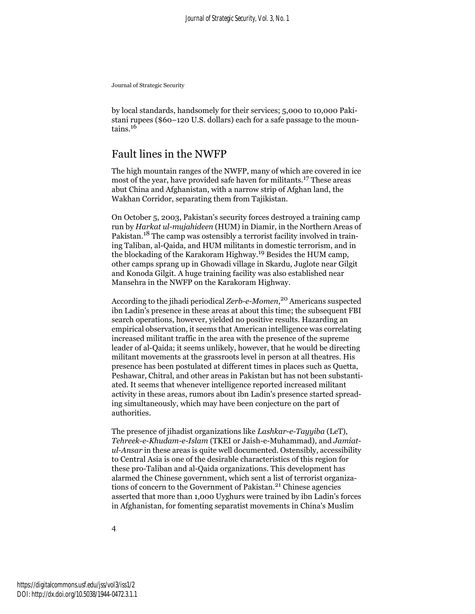by local standards, handsomely for their services; 5,000 to 10,000 Pakistani rupees (\$60–120 U.S. dollars) each for a safe passage to the mountains.<sup>16</sup>

# Fault lines in the NWFP

The high mountain ranges of the NWFP, many of which are covered in ice most of the year, have provided safe haven for militants.17 These areas abut China and Afghanistan, with a narrow strip of Afghan land, the Wakhan Corridor, separating them from Tajikistan.

On October 5, 2003, Pakistan's security forces destroyed a training camp run by *Harkat ul-mujahideen* (HUM) in Diamir, in the Northern Areas of Pakistan.18 The camp was ostensibly a terrorist facility involved in training Taliban, al-Qaida, and HUM militants in domestic terrorism, and in the blockading of the Karakoram Highway.19 Besides the HUM camp, other camps sprang up in Ghowadi village in Skardu, Juglote near Gilgit and Konoda Gilgit. A huge training facility was also established near Mansehra in the NWFP on the Karakoram Highway.

According to the jihadi periodical *Zerb-e-Momen*, 20 Americans suspected ibn Ladin's presence in these areas at about this time; the subsequent FBI search operations, however, yielded no positive results. Hazarding an empirical observation, it seems that American intelligence was correlating increased militant traffic in the area with the presence of the supreme leader of al-Qaida; it seems unlikely, however, that he would be directing militant movements at the grassroots level in person at all theatres. His presence has been postulated at different times in places such as Quetta, Peshawar, Chitral, and other areas in Pakistan but has not been substantiated. It seems that whenever intelligence reported increased militant activity in these areas, rumors about ibn Ladin's presence started spreading simultaneously, which may have been conjecture on the part of authorities.

The presence of jihadist organizations like *Lashkar-e-Tayyiba* (LeT), *Tehreek-e-Khudam-e-Islam* (TKEI or Jaish-e-Muhammad), and *Jamiatul-Ansar* in these areas is quite well documented. Ostensibly, accessibility to Central Asia is one of the desirable characteristics of this region for these pro-Taliban and al-Qaida organizations. This development has alarmed the Chinese government, which sent a list of terrorist organizations of concern to the Government of Pakistan.<sup>21</sup> Chinese agencies asserted that more than 1,000 Uyghurs were trained by ibn Ladin's forces in Afghanistan, for fomenting separatist movements in China's Muslim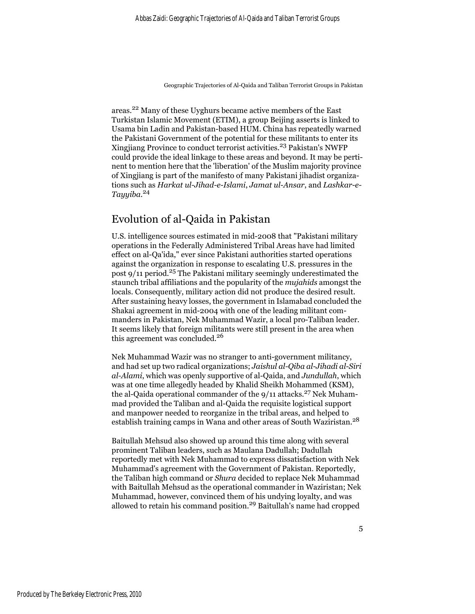areas.22 Many of these Uyghurs became active members of the East Turkistan Islamic Movement (ETIM), a group Beijing asserts is linked to Usama bin Ladin and Pakistan-based HUM. China has repeatedly warned the Pakistani Government of the potential for these militants to enter its Xingjiang Province to conduct terrorist activities.<sup>23</sup> Pakistan's NWFP could provide the ideal linkage to these areas and beyond. It may be pertinent to mention here that the 'liberation' of the Muslim majority province of Xingjiang is part of the manifesto of many Pakistani jihadist organizations such as *Harkat ul-Jihad-e-Islami*, *Jamat ul-Ansar*, and *Lashkar-e-Tayyiba*. 24

# Evolution of al-Qaida in Pakistan

U.S. intelligence sources estimated in mid-2008 that "Pakistani military operations in the Federally Administered Tribal Areas have had limited effect on al-Qa'ida," ever since Pakistani authorities started operations against the organization in response to escalating U.S. pressures in the post 9/11 period.25 The Pakistani military seemingly underestimated the staunch tribal affiliations and the popularity of the *mujahids* amongst the locals. Consequently, military action did not produce the desired result. After sustaining heavy losses, the government in Islamabad concluded the Shakai agreement in mid-2004 with one of the leading militant commanders in Pakistan, Nek Muhammad Wazir, a local pro-Taliban leader. It seems likely that foreign militants were still present in the area when this agreement was concluded.<sup>26</sup>

Nek Muhammad Wazir was no stranger to anti-government militancy, and had set up two radical organizations; *Jaishul al-Qiba al-Jihadi al-Siri al-Alami*, which was openly supportive of al-Qaida, and *Jundullah*, which was at one time allegedly headed by Khalid Sheikh Mohammed (KSM), the al-Qaida operational commander of the  $9/11$  attacks.<sup>27</sup> Nek Muhammad provided the Taliban and al-Qaida the requisite logistical support and manpower needed to reorganize in the tribal areas, and helped to establish training camps in Wana and other areas of South Waziristan.<sup>28</sup>

Baitullah Mehsud also showed up around this time along with several prominent Taliban leaders, such as Maulana Dadullah; Dadullah reportedly met with Nek Muhammad to express dissatisfaction with Nek Muhammad's agreement with the Government of Pakistan. Reportedly, the Taliban high command or *Shura* decided to replace Nek Muhammad with Baitullah Mehsud as the operational commander in Waziristan; Nek Muhammad, however, convinced them of his undying loyalty, and was allowed to retain his command position.29 Baitullah's name had cropped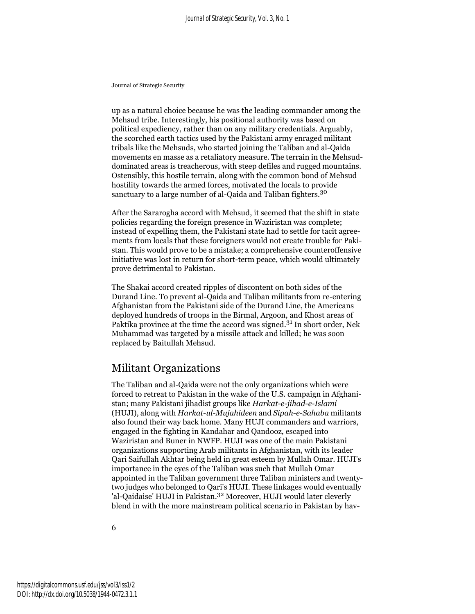up as a natural choice because he was the leading commander among the Mehsud tribe. Interestingly, his positional authority was based on political expediency, rather than on any military credentials. Arguably, the scorched earth tactics used by the Pakistani army enraged militant tribals like the Mehsuds, who started joining the Taliban and al-Qaida movements en masse as a retaliatory measure. The terrain in the Mehsuddominated areas is treacherous, with steep defiles and rugged mountains. Ostensibly, this hostile terrain, along with the common bond of Mehsud hostility towards the armed forces, motivated the locals to provide sanctuary to a large number of al-Qaida and Taliban fighters.<sup>30</sup>

After the Sararogha accord with Mehsud, it seemed that the shift in state policies regarding the foreign presence in Waziristan was complete; instead of expelling them, the Pakistani state had to settle for tacit agreements from locals that these foreigners would not create trouble for Pakistan. This would prove to be a mistake; a comprehensive counteroffensive initiative was lost in return for short-term peace, which would ultimately prove detrimental to Pakistan.

The Shakai accord created ripples of discontent on both sides of the Durand Line. To prevent al-Qaida and Taliban militants from re-entering Afghanistan from the Pakistani side of the Durand Line, the Americans deployed hundreds of troops in the Birmal, Argoon, and Khost areas of Paktika province at the time the accord was signed.<sup>31</sup> In short order, Nek Muhammad was targeted by a missile attack and killed; he was soon replaced by Baitullah Mehsud.

# Militant Organizations

The Taliban and al-Qaida were not the only organizations which were forced to retreat to Pakistan in the wake of the U.S. campaign in Afghanistan; many Pakistani jihadist groups like *Harkat-e-jihad-e-Islami* (HUJI), along with *Harkat-ul-Mujahideen* and *Sipah-e-Sahaba* militants also found their way back home. Many HUJI commanders and warriors, engaged in the fighting in Kandahar and Qandooz, escaped into Waziristan and Buner in NWFP. HUJI was one of the main Pakistani organizations supporting Arab militants in Afghanistan, with its leader Qari Saifullah Akhtar being held in great esteem by Mullah Omar. HUJI's importance in the eyes of the Taliban was such that Mullah Omar appointed in the Taliban government three Taliban ministers and twentytwo judges who belonged to Qari's HUJI. These linkages would eventually 'al-Qaidaise' HUJI in Pakistan.<sup>32</sup> Moreover, HUJI would later cleverly blend in with the more mainstream political scenario in Pakistan by hav-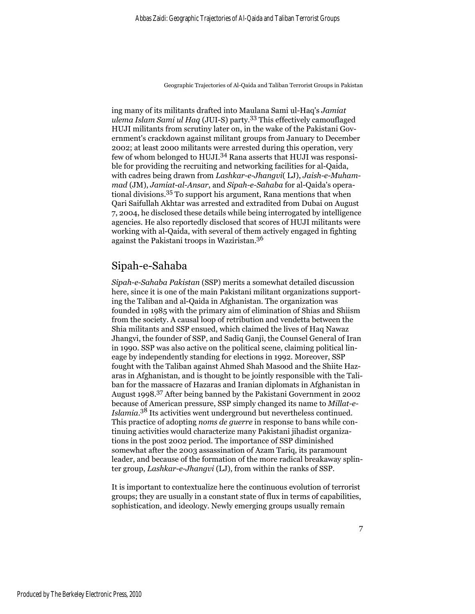ing many of its militants drafted into Maulana Sami ul-Haq's *Jamiat ulema Islam Sami ul Haq* (JUI-S) party.33 This effectively camouflaged HUJI militants from scrutiny later on, in the wake of the Pakistani Government's crackdown against militant groups from January to December 2002; at least 2000 militants were arrested during this operation, very few of whom belonged to HUJI.34 Rana asserts that HUJI was responsible for providing the recruiting and networking facilities for al-Qaida, with cadres being drawn from *Lashkar-e-Jhangvi*( LJ), *Jaish-e-Muhammad* (JM), *Jamiat-al-Ansar*, and *Sipah-e-Sahaba* for al-Qaida's operational divisions.35 To support his argument, Rana mentions that when Qari Saifullah Akhtar was arrested and extradited from Dubai on August 7, 2004, he disclosed these details while being interrogated by intelligence agencies. He also reportedly disclosed that scores of HUJI militants were working with al-Qaida, with several of them actively engaged in fighting against the Pakistani troops in Waziristan.<sup>36</sup>

#### Sipah-e-Sahaba

*Sipah-e-Sahaba Pakistan* (SSP) merits a somewhat detailed discussion here, since it is one of the main Pakistani militant organizations supporting the Taliban and al-Qaida in Afghanistan. The organization was founded in 1985 with the primary aim of elimination of Shias and Shiism from the society. A causal loop of retribution and vendetta between the Shia militants and SSP ensued, which claimed the lives of Haq Nawaz Jhangvi, the founder of SSP, and Sadiq Ganji, the Counsel General of Iran in 1990. SSP was also active on the political scene, claiming political lineage by independently standing for elections in 1992. Moreover, SSP fought with the Taliban against Ahmed Shah Masood and the Shiite Hazaras in Afghanistan, and is thought to be jointly responsible with the Taliban for the massacre of Hazaras and Iranian diplomats in Afghanistan in August 1998.37 After being banned by the Pakistani Government in 2002 because of American pressure, SSP simply changed its name to *Millat-e-Islamia*. 38 Its activities went underground but nevertheless continued. This practice of adopting *noms de guerre* in response to bans while continuing activities would characterize many Pakistani jihadist organizations in the post 2002 period. The importance of SSP diminished somewhat after the 2003 assassination of Azam Tariq, its paramount leader, and because of the formation of the more radical breakaway splinter group, *Lashkar-e-Jhangvi* (LJ), from within the ranks of SSP.

It is important to contextualize here the continuous evolution of terrorist groups; they are usually in a constant state of flux in terms of capabilities, sophistication, and ideology. Newly emerging groups usually remain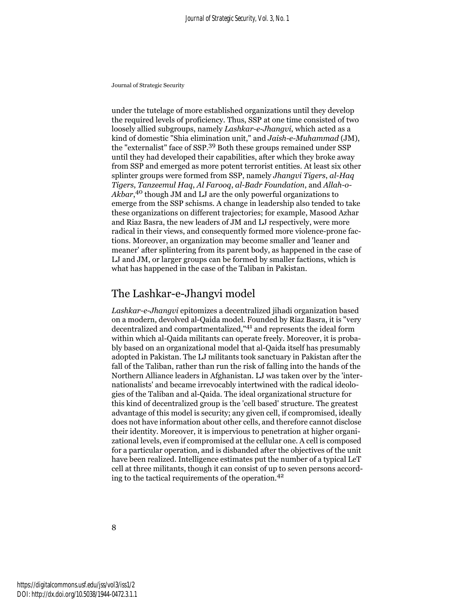under the tutelage of more established organizations until they develop the required levels of proficiency. Thus, SSP at one time consisted of two loosely allied subgroups, namely *Lashkar-e-Jhangvi*, which acted as a kind of domestic "Shia elimination unit," and *Jaish-e-Muhammad* (JM), the "externalist" face of SSP.39 Both these groups remained under SSP until they had developed their capabilities, after which they broke away from SSP and emerged as more potent terrorist entities. At least six other splinter groups were formed from SSP, namely *Jhangvi Tigers*, *al-Haq Tigers*, *Tanzeemul Haq*, *Al Farooq*, *al-Badr Foundation*, and *Allah-o-Akbar*, 40 though JM and LJ are the only powerful organizations to emerge from the SSP schisms. A change in leadership also tended to take these organizations on different trajectories; for example, Masood Azhar and Riaz Basra, the new leaders of JM and LJ respectively, were more radical in their views, and consequently formed more violence-prone factions. Moreover, an organization may become smaller and 'leaner and meaner' after splintering from its parent body, as happened in the case of LJ and JM, or larger groups can be formed by smaller factions, which is what has happened in the case of the Taliban in Pakistan.

# The Lashkar-e-Jhangvi model

*Lashkar-e-Jhangvi* epitomizes a decentralized jihadi organization based on a modern, devolved al-Qaida model. Founded by Riaz Basra, it is "very decentralized and compartmentalized,"41 and represents the ideal form within which al-Qaida militants can operate freely. Moreover, it is probably based on an organizational model that al-Qaida itself has presumably adopted in Pakistan. The LJ militants took sanctuary in Pakistan after the fall of the Taliban, rather than run the risk of falling into the hands of the Northern Alliance leaders in Afghanistan. LJ was taken over by the 'internationalists' and became irrevocably intertwined with the radical ideologies of the Taliban and al-Qaida. The ideal organizational structure for this kind of decentralized group is the 'cell based' structure. The greatest advantage of this model is security; any given cell, if compromised, ideally does not have information about other cells, and therefore cannot disclose their identity. Moreover, it is impervious to penetration at higher organizational levels, even if compromised at the cellular one. A cell is composed for a particular operation, and is disbanded after the objectives of the unit have been realized. Intelligence estimates put the number of a typical LeT cell at three militants, though it can consist of up to seven persons according to the tactical requirements of the operation.<sup>42</sup>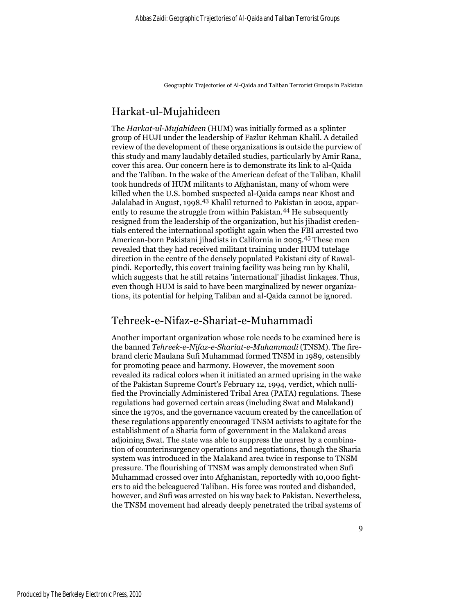# Harkat-ul-Mujahideen

The *Harkat-ul-Mujahideen* (HUM) was initially formed as a splinter group of HUJI under the leadership of Fazlur Rehman Khalil. A detailed review of the development of these organizations is outside the purview of this study and many laudably detailed studies, particularly by Amir Rana, cover this area. Our concern here is to demonstrate its link to al-Qaida and the Taliban. In the wake of the American defeat of the Taliban, Khalil took hundreds of HUM militants to Afghanistan, many of whom were killed when the U.S. bombed suspected al-Qaida camps near Khost and Jalalabad in August, 1998.43 Khalil returned to Pakistan in 2002, apparently to resume the struggle from within Pakistan.<sup>44</sup> He subsequently resigned from the leadership of the organization, but his jihadist credentials entered the international spotlight again when the FBI arrested two American-born Pakistani jihadists in California in 2005.45 These men revealed that they had received militant training under HUM tutelage direction in the centre of the densely populated Pakistani city of Rawalpindi. Reportedly, this covert training facility was being run by Khalil, which suggests that he still retains 'international' jihadist linkages. Thus, even though HUM is said to have been marginalized by newer organizations, its potential for helping Taliban and al-Qaida cannot be ignored.

# Tehreek-e-Nifaz-e-Shariat-e-Muhammadi

Another important organization whose role needs to be examined here is the banned *Tehreek-e-Nifaz-e-Shariat-e-Muhammadi* (TNSM). The firebrand cleric Maulana Sufi Muhammad formed TNSM in 1989, ostensibly for promoting peace and harmony. However, the movement soon revealed its radical colors when it initiated an armed uprising in the wake of the Pakistan Supreme Court's February 12, 1994, verdict, which nullified the Provincially Administered Tribal Area (PATA) regulations. These regulations had governed certain areas (including Swat and Malakand) since the 1970s, and the governance vacuum created by the cancellation of these regulations apparently encouraged TNSM activists to agitate for the establishment of a Sharia form of government in the Malakand areas adjoining Swat. The state was able to suppress the unrest by a combination of counterinsurgency operations and negotiations, though the Sharia system was introduced in the Malakand area twice in response to TNSM pressure. The flourishing of TNSM was amply demonstrated when Sufi Muhammad crossed over into Afghanistan, reportedly with 10,000 fighters to aid the beleaguered Taliban. His force was routed and disbanded, however, and Sufi was arrested on his way back to Pakistan. Nevertheless, the TNSM movement had already deeply penetrated the tribal systems of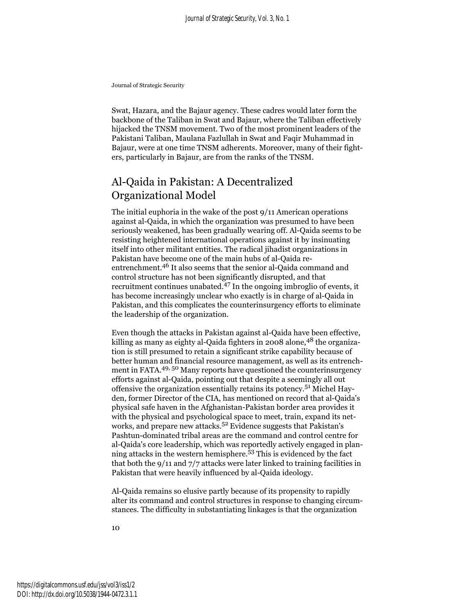Swat, Hazara, and the Bajaur agency. These cadres would later form the backbone of the Taliban in Swat and Bajaur, where the Taliban effectively hijacked the TNSM movement. Two of the most prominent leaders of the Pakistani Taliban, Maulana Fazlullah in Swat and Faqir Muhammad in Bajaur, were at one time TNSM adherents. Moreover, many of their fighters, particularly in Bajaur, are from the ranks of the TNSM.

# Al-Qaida in Pakistan: A Decentralized Organizational Model

The initial euphoria in the wake of the post 9/11 American operations against al-Qaida, in which the organization was presumed to have been seriously weakened, has been gradually wearing off. Al-Qaida seems to be resisting heightened international operations against it by insinuating itself into other militant entities. The radical jihadist organizations in Pakistan have become one of the main hubs of al-Qaida reentrenchment.46 It also seems that the senior al-Qaida command and control structure has not been significantly disrupted, and that recruitment continues unabated. $47$  In the ongoing imbroglio of events, it has become increasingly unclear who exactly is in charge of al-Qaida in Pakistan, and this complicates the counterinsurgency efforts to eliminate the leadership of the organization.

Even though the attacks in Pakistan against al-Qaida have been effective, killing as many as eighty al-Qaida fighters in 2008 alone, <sup>48</sup> the organization is still presumed to retain a significant strike capability because of better human and financial resource management, as well as its entrenchment in FATA.49, 50 Many reports have questioned the counterinsurgency efforts against al-Qaida, pointing out that despite a seemingly all out offensive the organization essentially retains its potency.51 Michel Hayden, former Director of the CIA, has mentioned on record that al-Qaida's physical safe haven in the Afghanistan-Pakistan border area provides it with the physical and psychological space to meet, train, expand its networks, and prepare new attacks.<sup>52</sup> Evidence suggests that Pakistan's Pashtun-dominated tribal areas are the command and control centre for al-Qaida's core leadership, which was reportedly actively engaged in planning attacks in the western hemisphere.53 This is evidenced by the fact that both the 9/11 and 7/7 attacks were later linked to training facilities in Pakistan that were heavily influenced by al-Qaida ideology.

Al-Qaida remains so elusive partly because of its propensity to rapidly alter its command and control structures in response to changing circumstances. The difficulty in substantiating linkages is that the organization

10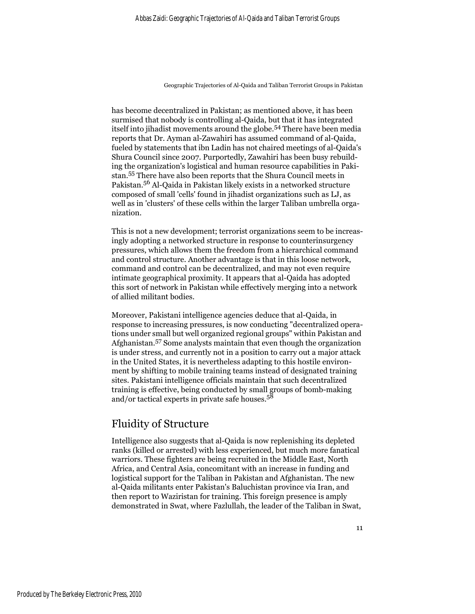has become decentralized in Pakistan; as mentioned above, it has been surmised that nobody is controlling al-Qaida, but that it has integrated itself into jihadist movements around the globe.54 There have been media reports that Dr. Ayman al-Zawahiri has assumed command of al-Qaida, fueled by statements that ibn Ladin has not chaired meetings of al-Qaida's Shura Council since 2007. Purportedly, Zawahiri has been busy rebuilding the organization's logistical and human resource capabilities in Pakistan.55 There have also been reports that the Shura Council meets in Pakistan.56 Al-Qaida in Pakistan likely exists in a networked structure composed of small 'cells' found in jihadist organizations such as LJ, as well as in 'clusters' of these cells within the larger Taliban umbrella organization.

This is not a new development; terrorist organizations seem to be increasingly adopting a networked structure in response to counterinsurgency pressures, which allows them the freedom from a hierarchical command and control structure. Another advantage is that in this loose network, command and control can be decentralized, and may not even require intimate geographical proximity. It appears that al-Qaida has adopted this sort of network in Pakistan while effectively merging into a network of allied militant bodies.

Moreover, Pakistani intelligence agencies deduce that al-Qaida, in response to increasing pressures, is now conducting "decentralized operations under small but well organized regional groups" within Pakistan and Afghanistan.57 Some analysts maintain that even though the organization is under stress, and currently not in a position to carry out a major attack in the United States, it is nevertheless adapting to this hostile environment by shifting to mobile training teams instead of designated training sites. Pakistani intelligence officials maintain that such decentralized training is effective, being conducted by small groups of bomb-making and/or tactical experts in private safe houses.<sup>58</sup>

# Fluidity of Structure

Intelligence also suggests that al-Qaida is now replenishing its depleted ranks (killed or arrested) with less experienced, but much more fanatical warriors. These fighters are being recruited in the Middle East, North Africa, and Central Asia, concomitant with an increase in funding and logistical support for the Taliban in Pakistan and Afghanistan. The new al-Qaida militants enter Pakistan's Baluchistan province via Iran, and then report to Waziristan for training. This foreign presence is amply demonstrated in Swat, where Fazlullah, the leader of the Taliban in Swat,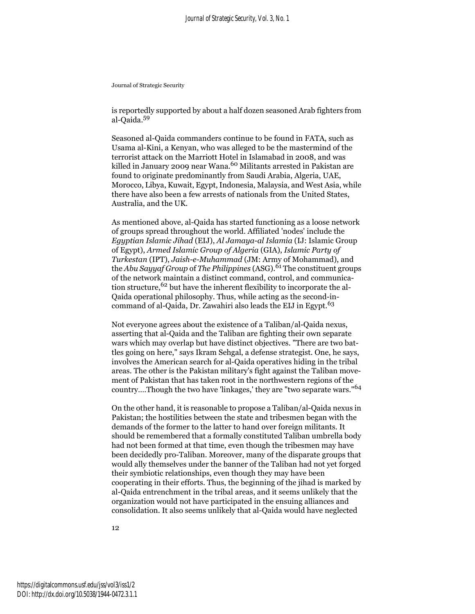is reportedly supported by about a half dozen seasoned Arab fighters from al-Qaida.<sup>59</sup>

Seasoned al-Qaida commanders continue to be found in FATA, such as Usama al-Kini, a Kenyan, who was alleged to be the mastermind of the terrorist attack on the Marriott Hotel in Islamabad in 2008, and was killed in January 2009 near Wana.<sup>60</sup> Militants arrested in Pakistan are found to originate predominantly from Saudi Arabia, Algeria, UAE, Morocco, Libya, Kuwait, Egypt, Indonesia, Malaysia, and West Asia, while there have also been a few arrests of nationals from the United States, Australia, and the UK.

As mentioned above, al-Qaida has started functioning as a loose network of groups spread throughout the world. Affiliated 'nodes' include the *Egyptian Islamic Jihad* (EIJ), *Al Jamaya-al Islamia* (IJ: Islamic Group of Egypt), *Armed Islamic Group of Algeria* (GIA), *Islamic Party of Turkestan* (IPT), *Jaish-e-Muhammad* (JM: Army of Mohammad), and the *Abu Sayyaf Group* of *The Philippines* (ASG).<sup>61</sup> The constituent groups of the network maintain a distinct command, control, and communication structure,  $62$  but have the inherent flexibility to incorporate the al-Qaida operational philosophy. Thus, while acting as the second-incommand of al-Qaida, Dr. Zawahiri also leads the EIJ in Egypt.<sup>63</sup>

Not everyone agrees about the existence of a Taliban/al-Qaida nexus, asserting that al-Qaida and the Taliban are fighting their own separate wars which may overlap but have distinct objectives. "There are two battles going on here," says Ikram Sehgal, a defense strategist. One, he says, involves the American search for al-Qaida operatives hiding in the tribal areas. The other is the Pakistan military's fight against the Taliban movement of Pakistan that has taken root in the northwestern regions of the country….Though the two have 'linkages,' they are "two separate wars."<sup>64</sup>

On the other hand, it is reasonable to propose a Taliban/al-Qaida nexus in Pakistan; the hostilities between the state and tribesmen began with the demands of the former to the latter to hand over foreign militants. It should be remembered that a formally constituted Taliban umbrella body had not been formed at that time, even though the tribesmen may have been decidedly pro-Taliban. Moreover, many of the disparate groups that would ally themselves under the banner of the Taliban had not yet forged their symbiotic relationships, even though they may have been cooperating in their efforts. Thus, the beginning of the jihad is marked by al-Qaida entrenchment in the tribal areas, and it seems unlikely that the organization would not have participated in the ensuing alliances and consolidation. It also seems unlikely that al-Qaida would have neglected

12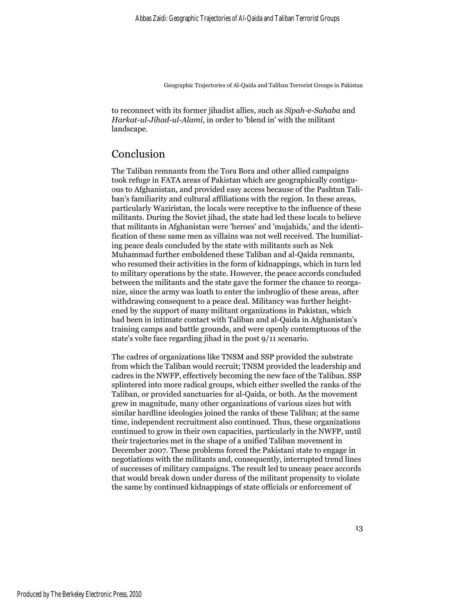to reconnect with its former jihadist allies, such as *Sipah-e-Sahaba* and *Harkat-ul-Jihad-ul-Alami*, in order to 'blend in' with the militant landscape.

## Conclusion

The Taliban remnants from the Tora Bora and other allied campaigns took refuge in FATA areas of Pakistan which are geographically contiguous to Afghanistan, and provided easy access because of the Pashtun Taliban's familiarity and cultural affiliations with the region. In these areas, particularly Waziristan, the locals were receptive to the influence of these militants. During the Soviet jihad, the state had led these locals to believe that militants in Afghanistan were 'heroes' and 'mujahids,' and the identification of these same men as villains was not well received. The humiliating peace deals concluded by the state with militants such as Nek Muhammad further emboldened these Taliban and al-Qaida remnants, who resumed their activities in the form of kidnappings, which in turn led to military operations by the state. However, the peace accords concluded between the militants and the state gave the former the chance to reorganize, since the army was loath to enter the imbroglio of these areas, after withdrawing consequent to a peace deal. Militancy was further heightened by the support of many militant organizations in Pakistan, which had been in intimate contact with Taliban and al-Qaida in Afghanistan's training camps and battle grounds, and were openly contemptuous of the state's volte face regarding jihad in the post 9/11 scenario.

The cadres of organizations like TNSM and SSP provided the substrate from which the Taliban would recruit; TNSM provided the leadership and cadres in the NWFP, effectively becoming the new face of the Taliban. SSP splintered into more radical groups, which either swelled the ranks of the Taliban, or provided sanctuaries for al-Qaida, or both. As the movement grew in magnitude, many other organizations of various sizes but with similar hardline ideologies joined the ranks of these Taliban; at the same time, independent recruitment also continued. Thus, these organizations continued to grow in their own capacities, particularly in the NWFP, until their trajectories met in the shape of a unified Taliban movement in December 2007. These problems forced the Pakistani state to engage in negotiations with the militants and, consequently, interrupted trend lines of successes of military campaigns. The result led to uneasy peace accords that would break down under duress of the militant propensity to violate the same by continued kidnappings of state officials or enforcement of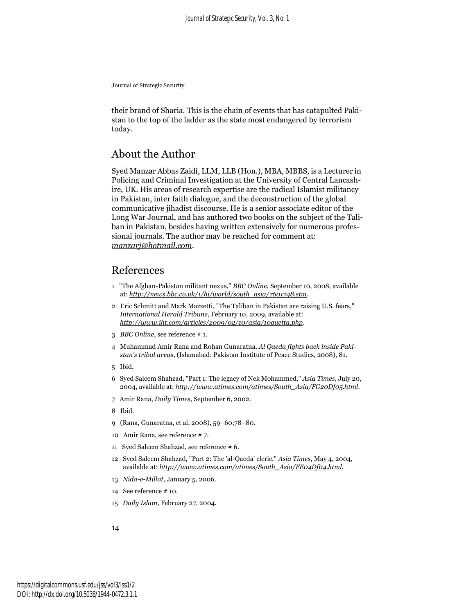their brand of Sharia. This is the chain of events that has catapulted Pakistan to the top of the ladder as the state most endangered by terrorism today.

### About the Author

Syed Manzar Abbas Zaidi, LLM, LLB (Hon.), MBA, MBBS, is a Lecturer in Policing and Criminal Investigation at the University of Central Lancashire, UK. His areas of research expertise are the radical Islamist militancy in Pakistan, inter faith dialogue, and the deconstruction of the global communicative jihadist discourse. He is a senior associate editor of the Long War Journal, and has authored two books on the subject of the Taliban in Pakistan, besides having written extensively for numerous professional journals. The author may be reached for comment at: *manzarj@hotmail.com*.

### References

- 1 "The Afghan-Pakistan militant nexus," *BBC Online*, September 10, 2008, available at: *http://news.bbc.co.uk/1/hi/world/south\_asia/7601748.stm*.
- 2 Eric Schmitt and Mark Mazzetti, "The Taliban in Pakistan are raising U.S. fears," *International Herald Tribune*, February 10, 2009, available at: *http://www.iht.com/articles/2009/02/10/asia/10quetta.php*.
- 3 *BBC Online*, see reference # 1.
- 4 Muhammad Amir Rana and Rohan Gunaratna, *Al Qaeda fights back inside Pakistan's tribal areas*, (Islamabad: Pakistan Institute of Peace Studies, 2008), 81.
- 5 Ibid.
- 6 Syed Saleem Shahzad, "Part 1: The legacy of Nek Mohammed," *Asia Times*, July 20, 2004, available at: *http://www.atimes.com/atimes/South\_Asia/FG20Df05.html*.
- 7 Amir Rana, *Daily Times*, September 6, 2002.
- 8 Ibid.
- 9 (Rana, Gunaratna, et al, 2008), 59–60;78–80.
- 10 Amir Rana, see reference # 7.
- 11 Syed Saleem Shahzad, see reference # 6.
- 12 Syed Saleem Shahzad, "Part 2: The 'al-Qaeda' cleric," *Asia Times*, May 4, 2004, available at: *http://www.atimes.com/atimes/South\_Asia/FE04Df04.html*.
- 13 *Nida-e-Millat*, January 5, 2006.
- 14 See reference # 10.
- 15 *Daily Islam*, February 27, 2004.

14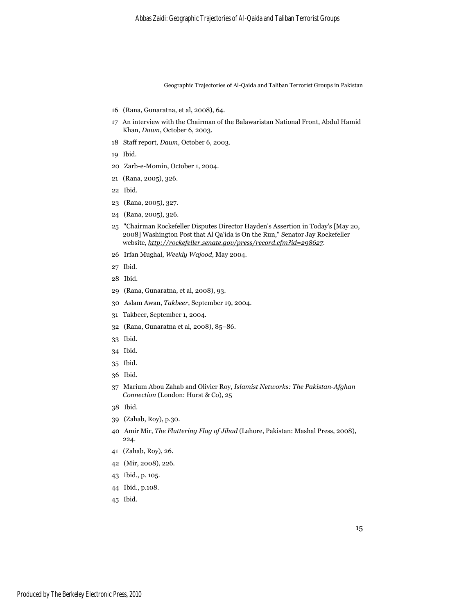- 16 (Rana, Gunaratna, et al, 2008), 64.
- 17 An interview with the Chairman of the Balawaristan National Front, Abdul Hamid Khan, *Dawn*, October 6, 2003.
- 18 Staff report, *Dawn*, October 6, 2003.
- 19 Ibid.
- 20 Zarb-e-Momin, October 1, 2004.
- 21 (Rana, 2005), 326.
- 22 Ibid.
- 23 (Rana, 2005), 327.
- 24 (Rana, 2005), 326.
- 25 "Chairman Rockefeller Disputes Director Hayden's Assertion in Today's [May 20, 2008] Washington Post that Al Qa'ida is On the Run," Senator Jay Rockefeller website, *http://rockefeller.senate.gov/press/record.cfm?id=298627*.
- 26 Irfan Mughal, *Weekly Wajood*, May 2004.
- 27 Ibid.
- 28 Ibid.
- 29 (Rana, Gunaratna, et al, 2008), 93.
- 30 Aslam Awan, *Takbeer*, September 19, 2004.
- 31 Takbeer, September 1, 2004.
- 32 (Rana, Gunaratna et al, 2008), 85–86.
- 33 Ibid.
- 34 Ibid.
- 35 Ibid.
- 36 Ibid.
- 37 Marium Abou Zahab and Olivier Roy, *Islamist Networks: The Pakistan-Afghan Connection* (London: Hurst & Co), 25
- 38 Ibid.
- 39 (Zahab, Roy), p.30.
- 40 Amir Mir, *The Fluttering Flag of Jihad* (Lahore, Pakistan: Mashal Press, 2008), 224.
- 41 (Zahab, Roy), 26.
- 42 (Mir, 2008), 226.
- 43 Ibid., p. 105.
- 44 Ibid., p.108.
- 45 Ibid.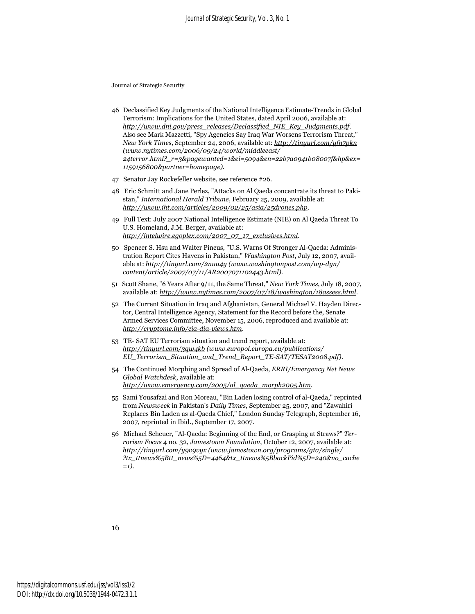- 46 Declassified Key Judgments of the National Intelligence Estimate-Trends in Global Terrorism: Implications for the United States, dated April 2006, available at: *http://www.dni.gov/press\_releases/Declassified\_NIE\_Key\_Judgments.pdf*. Also see Mark Mazzetti, "Spy Agencies Say Iraq War Worsens Terrorism Threat," *New York Times*, September 24, 2006, available at: *http://tinyurl.com/yfn7pkn (www.nytimes.com/2006/09/24/world/middleeast/ 24terror.html?\_r=3&pagewanted=1&ei=5094&en=22b7a0941b08007f&hp&ex= 1159156800&partner=homepage)*.
- 47 Senator Jay Rockefeller website, see reference #26.
- 48 Eric Schmitt and Jane Perlez, "Attacks on Al Qaeda concentrate its threat to Pakistan," *International Herald Tribune*, February 25, 2009, available at: *http://www.iht.com/articles/2009/02/25/asia/25drones.php*.
- 49 Full Text: July 2007 National Intelligence Estimate (NIE) on Al Qaeda Threat To U.S. Homeland, J.M. Berger, available at: *http://intelwire.egoplex.com/2007\_07\_17\_exclusives.html*.
- 50 Spencer S. Hsu and Walter Pincus, "U.S. Warns Of Stronger Al-Qaeda: Administration Report Cites Havens in Pakistan," *Washington Post*, July 12, 2007, available at: *http://tinyurl.com/2nuu4y (www.washingtonpost.com/wp-dyn/ content/article/2007/07/11/AR2007071102443.html)*.
- 51 Scott Shane, "6 Years After 9/11, the Same Threat," *New York Times*, July 18, 2007, available at: *http://www.nytimes.com/2007/07/18/washington/18assess.html*.
- 52 The Current Situation in Iraq and Afghanistan, General Michael V. Hayden Director, Central Intelligence Agency, Statement for the Record before the, Senate Armed Services Committee, November 15, 2006, reproduced and available at: *http://cryptome.info/cia-dia-views.htm*.
- 53 TE- SAT EU Terrorism situation and trend report, available at: *http://tinyurl.com/3qw4kb (www.europol.europa.eu/publications/ EU\_Terrorism\_Situation\_and\_Trend\_Report\_TE-SAT/TESAT2008.pdf)*.
- 54 The Continued Morphing and Spread of Al-Qaeda, *ERRI/Emergency Net News Global Watchdesk*, available at: *http://www.emergency.com/2005/al\_qaeda\_morph2005.htm*.
- 55 Sami Yousafzai and Ron Moreau, "Bin Laden losing control of al-Qaeda," reprinted from *Newsweek* in Pakistan's *Daily Times*, September 25, 2007, and "Zawahiri Replaces Bin Laden as al-Qaeda Chief," London Sunday Telegraph, September 16, 2007, reprinted in Ibid., September 17, 2007.
- 56 Michael Scheuer, "Al-Qaeda: Beginning of the End, or Grasping at Straws?" *Terrorism Focus* 4 no. 32, *Jamestown Foundation*, October 12, 2007, available at: *http://tinyurl.com/y9v9vyx (www.jamestown.org/programs/gta/single/ ?tx\_ttnews%5Btt\_news%5D=4464&tx\_ttnews%5BbackPid%5D=240&no\_cache =1)*.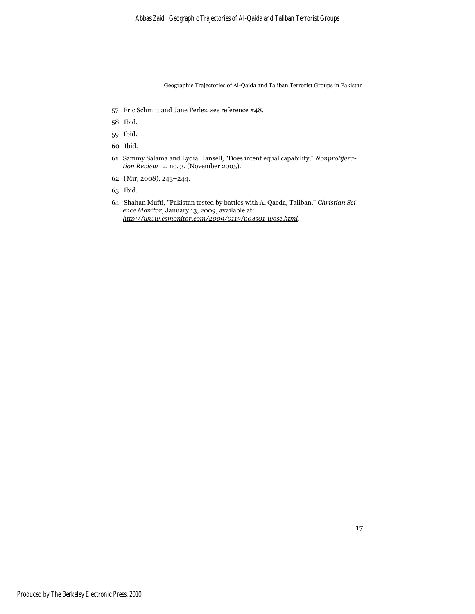- 57 Eric Schmitt and Jane Perlez, see reference #48.
- 58 Ibid.
- 59 Ibid.
- 60 Ibid.
- 61 Sammy Salama and Lydia Hansell, "Does intent equal capability," *Nonproliferation Review* 12, no. 3, (November 2005).
- 62 (Mir, 2008), 243–244.
- 63 Ibid.
- 64 Shahan Mufti, "Pakistan tested by battles with Al Qaeda, Taliban," *Christian Science Monitor*, January 13, 2009, available at: *http://www.csmonitor.com/2009/0113/p04s01-wosc.html*.